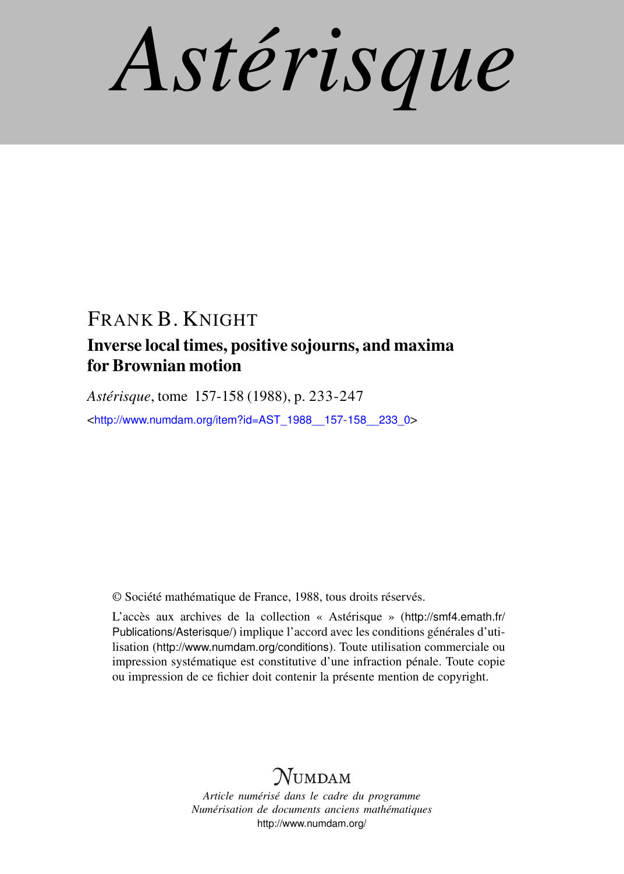*Astérisque*

## FRANK B. KNIGHT

## Inverse local times, positive sojourns, and maxima for Brownian motion

*Astérisque*, tome 157-158 (1988), p. 233-247

<[http://www.numdam.org/item?id=AST\\_1988\\_\\_157-158\\_\\_233\\_0](http://www.numdam.org/item?id=AST_1988__157-158__233_0)>

© Société mathématique de France, 1988, tous droits réservés.

L'accès aux archives de la collection « Astérisque » ([http://smf4.emath.fr/](http://smf4.emath.fr/Publications/Asterisque/) [Publications/Asterisque/](http://smf4.emath.fr/Publications/Asterisque/)) implique l'accord avec les conditions générales d'utilisation (<http://www.numdam.org/conditions>). Toute utilisation commerciale ou impression systématique est constitutive d'une infraction pénale. Toute copie ou impression de ce fichier doit contenir la présente mention de copyright.

# **NUMDAM**

*Article numérisé dans le cadre du programme Numérisation de documents anciens mathématiques* <http://www.numdam.org/>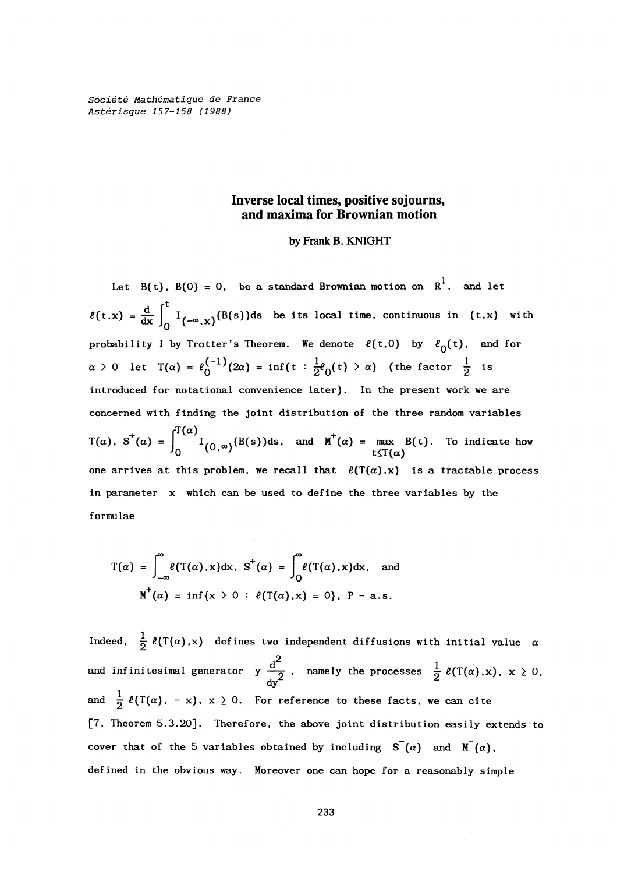**Société Mathématique de France Astérisque 157-158 (1988)** 

#### **Inverse local times, positive sojourns, and maxima for Brownian motion**

#### **by Frank B. KNIGHT**

Let  $B(t)$ ,  $B(0) = 0$ , be a standard Brownian motion on  $R^1$ , and let  $\ell(t,x) = \frac{d}{dx} \int_0^t I_{(-\infty,x)}(B(s))ds$  be its local time, continuous in (t,x) with **probability** 1 **by Trotter's Theorem.** We denote  $\ell(t,0)$  by  $\ell_0(t)$ , and for  $\alpha > 0$  let  $T(\alpha) = \ell_0^{(-1)}(2\alpha) = \inf\{t : \frac{1}{2}\ell_0(t) > \alpha\}$  (the factor  $\frac{1}{2}$  is **introduced for notational convenience later). In the present work we are concerned with finding the joint distribution of the three random variables**   $\int_0^{\Gamma(\alpha)}$ **T(a), S (a) =** *Ifn* **.(B(s))ds, and M (a) = max B(t). To indicate how**   $\frac{1}{2}$  **b**  $\frac{1}{2}$  **c**  $\frac{1}{2}$  **c**  $\frac{1}{2}$  **c**  $\frac{1}{2}$  **c**  $\frac{1}{2}$  **c**  $\frac{1}{2}$  **c**  $\frac{1}{2}$  **c**  $\frac{1}{2}$  **c**  $\frac{1}{2}$  **c**  $\frac{1}{2}$  **c**  $\frac{1}{2}$  **c**  $\frac{1}{2}$  **c**  $\frac{1}{2}$  **c**  $\frac{1}{2}$  **c**  $\frac{1}{2}$  in parameter x which can be used to define the three variables by the

$$
T(\alpha) = \int_{-\infty}^{\infty} \ell(T(\alpha), x) dx, S^+( \alpha) = \int_{0}^{\infty} \ell(T(\alpha), x) dx, \text{ and}
$$

$$
M^+(\alpha) = \inf \{ x > 0 : \ell(T(\alpha), x) = 0 \}, P - a.s.
$$

Indeed,  $\frac{1}{2}$   $\ell(T(\alpha),x)$  defines two independent diffusions with initial value  $\alpha$ and infinitesimal generator  $y \frac{d^2}{2}$ , namely the processes  $\frac{1}{2} \ell(T(\alpha),x)$ ,  $x \ge 0$ , **dy**  and  $\frac{1}{2} \ell(T(\alpha), -x), x \ge 0$ . For reference to these facts, we can cite **[7, Theorem 5.3.20]. Therefore, the above joint distribution easily extends to cover that of the** 5 **variables obtained by including**  $S^-(\alpha)$  and  $M^-(\alpha)$ , **defined in the obvious way. Moreover one can hope for a reasonably simple**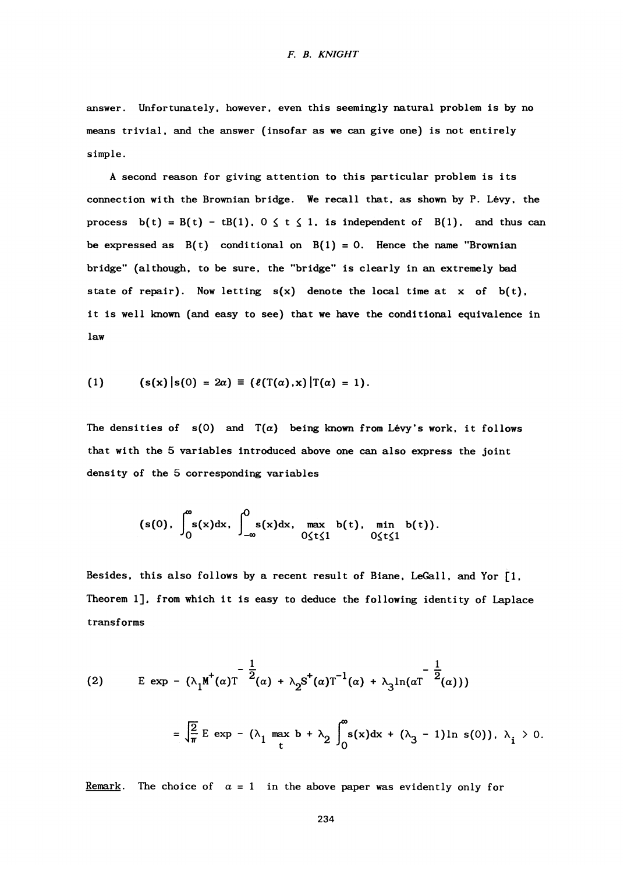#### *F. B. KNIGHT*

**answer. Unfortunately, however, even this seemingly natural problem is by no means trivial, and the answer (insofar as we can give one) is not entirely simple.** 

**A second reason for giving attention to this particular problem is its connection with the Brownian bridge. We recall that, as shown by P. Levy, the**  process  $b(t) = B(t) - tB(1)$ ,  $0 \le t \le 1$ , is independent of  $B(1)$ , and thus can be expressed as  $B(t)$  conditional on  $B(1) = 0$ . Hence the name "Brownian **bridge" (although, to be sure, the "bridge" is clearly in an extremely bad**  state of repair). Now letting  $s(x)$  denote the local time at  $x$  of  $b(t)$ , **it is well known (and easy to see) that we have the conditional equivalence in law** 

(1) 
$$
(\mathbf{s}(\mathbf{x}) | \mathbf{s}(0) = 2\alpha) \equiv (\ell(\mathbf{T}(\alpha), \mathbf{x}) | \mathbf{T}(\alpha) = 1).
$$

The densities of  $s(0)$  and  $T(\alpha)$  being known from Lévy's work, it follows **that with the 5 variables introduced above one can also express the joint density of the 5 corresponding variables** 

$$
(s(0), \int_0^{\infty} s(x) dx, \int_{-\infty}^0 s(x) dx, \max_{0 \leq t \leq 1} b(t), \min_{0 \leq t \leq 1} b(t)).
$$

**Besides, this also follows by a recent result of Biane, LeGall, and Yor [1, Theorem 1]. from which it is easy to deduce the following identity of Laplace transforms** 

(2) 
$$
E \exp - (\lambda_1 M^{\dagger}(\alpha) T^{-\frac{1}{2}}(\alpha) + \lambda_2 S^{\dagger}(\alpha) T^{-1}(\alpha) + \lambda_3 \ln(\alpha T^{-\frac{1}{2}}(\alpha)))
$$

$$
= \sqrt{\frac{2}{\pi}} E \exp - (\lambda_1 \max_{t} b + \lambda_2 \int_0^{\infty} s(x) dx + (\lambda_3 - 1) \ln s(0)), \lambda_i > 0.
$$

**<u>Remark</u>.** The choice of  $\alpha = 1$  in the above paper was evidently only for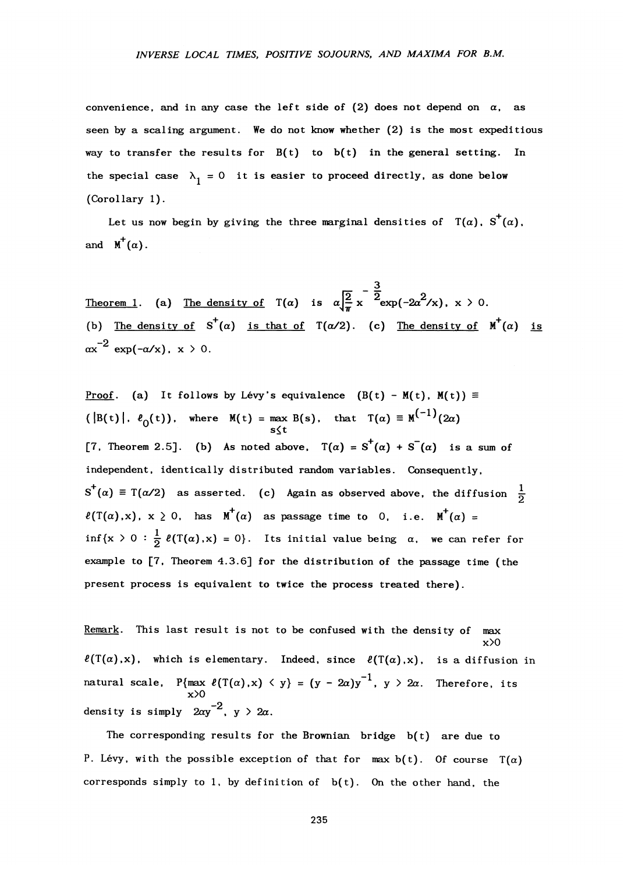convenience, and in any case the left side of  $(2)$  does not depend on  $\alpha$ , as **seen by a scaling argument. We do not know whether (2) is the most expeditious way to transfer the results for B(t) to b(t) in the general setting. In**  the special case  $\lambda_1 = 0$  it is easier to proceed directly, as done below **(Corollary 1).** 

Let us now begin by giving the three marginal densities of  $T(\alpha)$ ,  $S^{\dagger}(\alpha)$ , and  $M^+(\alpha)$ .

**\_ 3**   $\frac{2}{2} \times \frac{2}{2} \exp(-2a^2)$ **Theorem 1. (a) The density of T(a)** is a  $\sqrt{n}$ **(b) The density of S<sup>+</sup> (a) is that of T(a/2). (c) The density of M<sup>+</sup> (a) is -2 ax exp(-a/x), x > 0.** 

**Proof.** (a) It follows by Lévy's equivalence  $(B(t) - M(t), M(t)) \equiv$  $(\vert B(t) \vert, \theta_{0}(t))$ , where  $M(t) = \max B(s)$ , that  $T(\alpha) \equiv M^{(1)}(2\alpha)$ **s<t**  [7, Theorem 2.5]. (b) As noted above,  $T(\alpha) = S^+(\alpha) + S^-(\alpha)$  is a sum of **independent, identically distributed random variables. Consequently,**   $\mathbf{a} \cdot \mathbf{a} = \mathbf{a} \cdot \mathbf{a}$  as asserted. (c) Again as observed above, the diffusion  $\frac{1}{2}$  $\ell(T(\alpha),x), x \ge 0$ , has  $M^+(\alpha)$  as passage time to 0, i.e.  $M^+(\alpha) =$ inf{x > 0 :  $\frac{1}{2}$   $\ell(T(\alpha),x) = 0$ }. Its initial value being  $\alpha$ , we can refer for **example to [7, Theorem 4.3.6] for the distribution of the passage time (the present process is equivalent to twice the process treated there).** 

**Remark. This last result is not to be confused with the density of max x>0**   $\ell(T(\alpha),x)$ , which is elementary. Indeed, since  $\ell(T(\alpha),x)$ , is a diffusion in **natural scale,**  $P{\max \ell(T(\alpha), x) \leq y} = (y - 2a)y^{-1}, y > 2a$ . Therefore, its **x>0**  density is simply  $2\alpha y^{-2}$ ,  $y > 2\alpha$ .

The corresponding results for the Brownian bridge  $b(t)$  are due to P. Lévy, with the possible exception of that for max  $b(t)$ . Of course  $T(\alpha)$ corresponds simply to 1, by definition of  $b(t)$ . On the other hand, the

235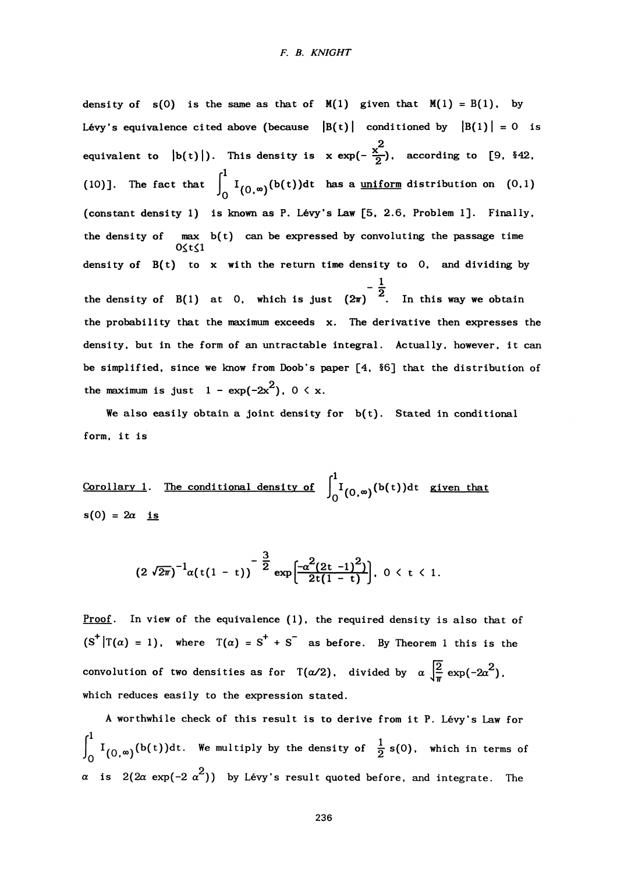**density** of  $s(0)$  is the same as that of  $M(1)$  given that  $M(1) = B(1)$ , by Lévy's equivalence cited above (because  $|B(t)|$  conditioned by  $|B(1)| = 0$  is equivalent to  $|b(t)|$ ). This density is  $x \exp(-\frac{x^2}{2})$ , according to [9, §42,  $e^{1}$  $\mathbf{10}$  **The fact that** (constant density 1) is known as P. Lévy's Law [5, 2.6, Problem 1]. Finally, **(constant density 1) is known as P. Levy's Law [5, 2.6, Problem 1]. Finally, the density of max b(t) can be expressed by convoluting the passage time 0\*t£l density of B(t) to x with the return time density to 0, and dividing by**   $-\frac{1}{2}$ the probability that the maximum exceeds x. The derivative then expresses the density, but in the form of an untractable integral. Actually, however, it can be simplified, since we know from Doob's paper [4, §6] that the distribution of **be simplified, since we know from Doob's papers**  $\mathbf{z}$ **2** 

We also easily obtain a joint density for  $b(t)$ . Stated in conditional  $W_{\mathbf{a}}$ , it is

**Corollary** 1. The conditional density of  $\int_{0}^{1} I_{(0,\infty)}(b(t))dt$  given that  $s(0) = 2a$  is

$$
(2\sqrt{2\pi})^{-1}\alpha(t(1-t))^{-\frac{3}{2}}\exp\left[\frac{-\alpha^2(2t-1)^2)}{2t(1-t)}\right], 0 < t < 1.
$$

**Proof. In view of the equivalence (1), the required density is also that of**   $(S^+ | T(\alpha) = 1)$ , where  $T(\alpha) = S^+ + S^-$  as before. By Theorem 1 this is the convolution of two densities as for T( $\alpha/2$ ), divided by  $\alpha \mid \frac{2}{\pi}$  $\int_{\overline{\pi}}^{\infty} \exp(-2\alpha^2)$ , **which reduces easily to the expression stated.** 

**A worthwhile check of this result is to derive from it P. Levy's Law for**   $\int_0^1 \frac{1}{(0, \infty)} (b(t)) dt$ . We multiply by the density of  $\frac{1}{2} s(0)$ , which in terms of *a* **is**  $2(2a \exp(-2 \alpha^2))$  **by Lévy's result quoted before, and integrate. The**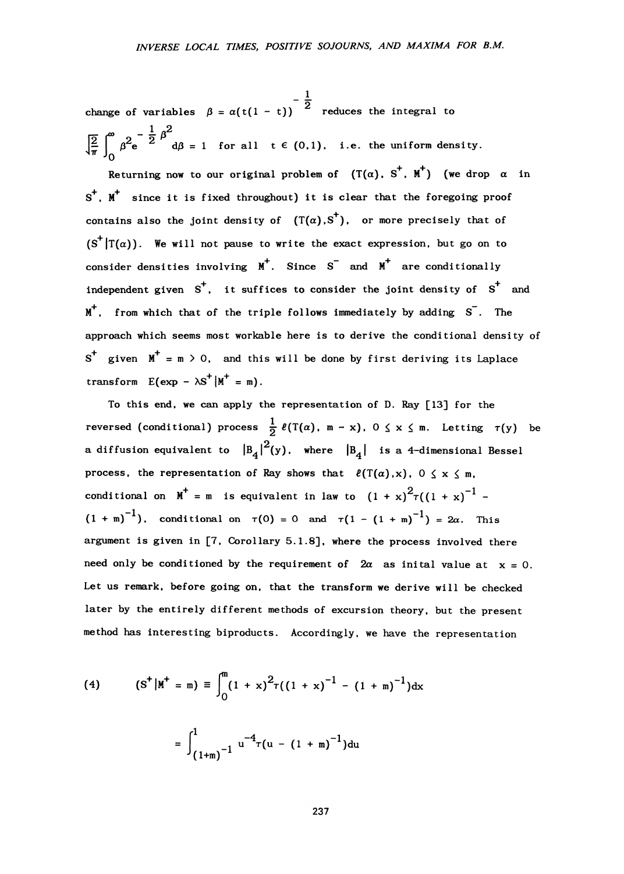**\_ i\_ 2 change of variables /3 = a(t(l - t)) reduces the integral to**   $J^{\#}_{\pi}$  |  $\beta^{\#}e$   $\alpha$   $d\beta = 1$  for all t  $\epsilon$  (0,1), i.e. the uniform density.

**Returning now to our original problem of**  $(T(\alpha), S^+, M^+)$  **(we drop**  $\alpha$  **in S <sup>+</sup> , M+ since it is fixed throughout) it is clear that the foregoing proof**  contains also the joint density of  $(T(\alpha),S^+)$ , or more precisely that of  $(S^{\dagger} | T(\alpha))$ . We will not pause to write the exact expression, but go on to **consider densities involving M<sup>+</sup> . Since S and M+ are conditionally independent given S<sup>+</sup> , it suffices to consider the joint density of S <sup>+</sup> and M <sup>+</sup> , from which that of the triple follows immediately by adding S . The approach which seems most workable here is to derive the conditional density of S <sup>+</sup> given M+ = m > 0, and this will be done by first deriving its Laplace**   $t$ **ransform**  $E(exp - \lambda S^+ | M^+ = m)$ .

**To this end, we can apply the representation of D. Ray [13] for the**   ${\tt reverseed}$  (conditional) process  $\frac{1}{2}$   $\ell(T(\alpha), m - x)$ ,  $0 \le x \le m$ . Letting  $\tau(y)$  be **a** diffusion equivalent to  $|B_4|^2(y)$ , where  $|B_4|$  is a 4-dimensional Bessel process, the representation of Ray shows that  $\ell(T(\alpha),x)$ ,  $0 \le x \le m$ , conditional on  $M^+$  = m is equivalent in law to  $(1 + x)^2 \tau ((1 + x)^{-1}$  $(1 + m)^{-1}$ , conditional on  $\tau(0) = 0$  and  $\tau(1 - (1 + m)^{-1}) = 2\alpha$ . This **argument is given in [7, Corollary 5.1.8], where the process involved there**  need only be conditioned by the requirement of  $2\alpha$  as inital value at  $x = 0$ . **Let us remark, before going on, that the transform we derive will be checked later by the entirely different methods of excursion theory, but the present method has interesting biproducts. Accordingly, we have the representation** 

(4) 
$$
(S^+|M^+ = m) \equiv \int_0^m (1 + x)^2 \tau ((1 + x)^{-1} - (1 + m)^{-1}) dx
$$

$$
= \int_{(1+m)^{-1}}^{1} u^{-4} \tau (u - (1 + m)^{-1}) du
$$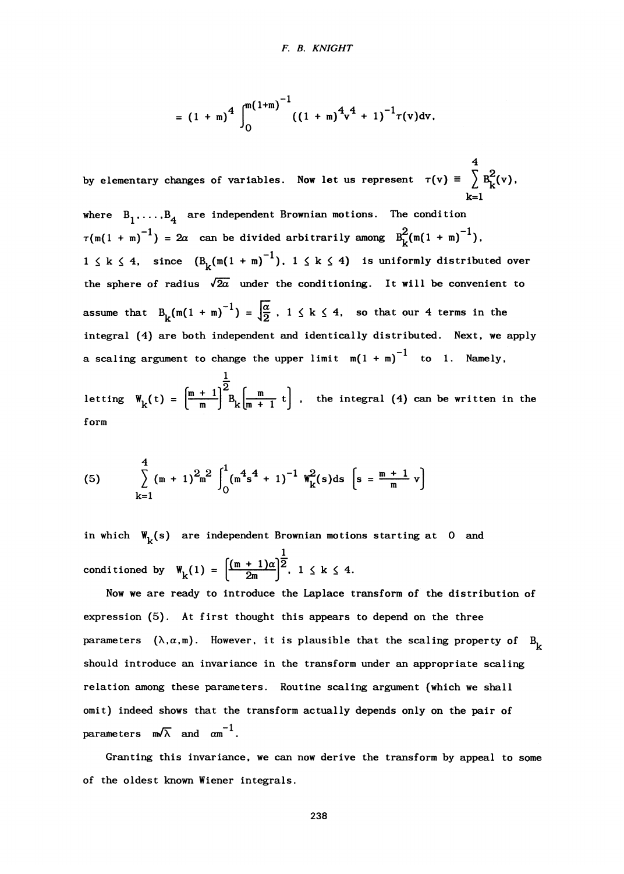$$
= (1 + m)^4 \int_0^{m(1+m)^{-1}} ((1 + m)^4 v^4 + 1)^{-1} \tau(v) dv.
$$

**4**  by elementary changes of variables. Now let us represent  $\tau(v) \equiv \sum_i (v)$ , **k=l** 

where  $B_1$ ...., $B_4$  are independent Brownian motions. The condition  $\tau(\text{m}(1 + \text{m})^{-1}) = 2\alpha$  can be divided arbitrarily among  $B^2_k(\text{m}(1 + \text{m})^{-1})$ ,  $1 \leq k \leq 4$ , since  $(B_k(m(1 + m)^{-1}), 1 \leq k \leq 4)$  is uniformly distributed over the sphere of radius  $\sqrt{2a}$  under the conditioning. It will be convenient to assume that  $B_{\nu}(m(1 + m)^{-1}) = \frac{\alpha}{2}$ ,  $1 \le k \le 4$ , so that our 4 terms in the **integral (4) are both independent and identically distributed. Next, we apply a** scaling argument to change the upper limit  $m(1 + m)^{-1}$  to 1. Namely, letting  $W_{\nu}(t) = \frac{m_{\nu}+1}{m_{\nu}+1}$  b  $k_{\nu}$  the integral (4) can be written in the

**form** 

(5) 
$$
\sum_{k=1}^{4} (m + 1)^{2} m^{2} \int_{0}^{1} (m^{4} s^{4} + 1)^{-1} W_{k}^{2}(s) ds \left[ s = \frac{m + 1}{m} v \right]
$$

in which  $W_k(s)$  are independent Brownian motions starting at 0 and *1\_*  conditioned by  $W_k(1) = \left| \frac{1}{2m} \right|$ ,  $1 \le k \le 4$ .

**Now we are ready to introduce the Laplace transform of the distribution of expression (5). At first thought this appears to depend on the three**  parameters  $(\lambda, \alpha, m)$ . However, it is plausible that the scaling property of  $B^{}_{\nu}$ **should introduce an invariance in the transform under an appropriate scaling relation among these parameters. Routine scaling argument (which we shall omit) indeed shows that the transform actually depends only on the pair of**  parameters  $m/\overline{\lambda}$  and  $\alpha m^{-1}$ .

**Granting this invar iance, we can now derive the transform by appeal to some of the oldest known Wiener integrals.**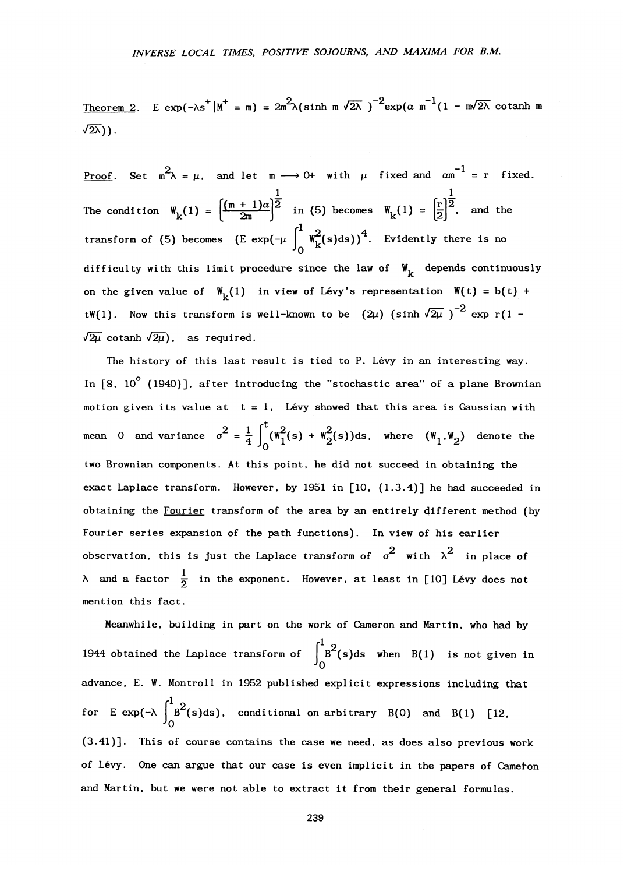<u>Theorem 2</u>. E exp(- $\lambda$ s |M = m) = 2m \(sinh m  $\lambda$ 2\ )  $\lambda$  = exp( $\alpha$  m  $\lambda$  - m $\lambda$ 2\ cotanh n  $\sqrt{2\lambda}$ )).

P<u>roof</u>. Set m  $\lambda = \mu$ , and let m  $\longrightarrow$  0+ with  $\mu$  fixed and  $\alpha$ m = r fixed. The condition  $W_k(1) = \frac{1}{2m}$  in (5) becomes  $W_k(1) = |\overline{2}|$ , and transform of (5) becomes  $(E \exp(-\mu \int_{0}^{1} w_k^2(s) ds))^4$ . Evidently there is no difficulty with this limit procedure since the law of  $W_L$  depends continuously **on the given value of**  $\mathbf{W}_{\nu}(\mathbf{1})$  **in view of Lévy's representation**  $\mathbf{W}(\mathbf{t}) = \mathbf{b}(\mathbf{t})$  **+**  $\mathsf{tW}(1)$ . Now this transform is well-known to be  $(2\mu)$  (sinh  $\sqrt{2\mu}$ )<sup>-2</sup> exp r(1 - $\sqrt{2\mu}$  cotanh  $\sqrt{2\mu}$ ), as required.

The history of this last result is tied to P. Lévy in an interesting way. In [8, 10<sup>°</sup> (1940)], after introducing the "stochastic area" of a plane Brownian motion given its value at  $t = 1$ . Lévy showed that this area is Gaussian with  $m_{\rm e}$   $\sim$  1,  $t_{\rm e}$  s, are a is  $\sim$ mean 0 and variance  $\sigma^2 = \frac{1}{4}$  ( $W^2(\text{s}) + W^2(\text{s})$ )ds, where ( $W_1, W_2$ ) denote the **two Brownian components. At this point, he did not succeed in obtaining the exact Laplace transform. However, by 1951 in [10, (1.3.4)] he had succeeded in obtaining the Fourier transform of the area by an entirely different method (by Fourier series expansion of the path functions). In view of his earlier**  observation, this is just the Laplace transform of  $\sigma^2$  with  $\lambda^2$  in place of  $\lambda$  and a factor  $\frac{1}{2}$  in the exponent. However, at least in [10] Lévy does not  $mention this fact.$ 

**mention this fact. Meanwhile, building in part on the work of Cameron and Martin, who had by**   $\int_{0}^{1}$ <sub>R</sub><sup>2</sup> 1944 obtained the Laplace transform of  $\int_0^b$  (s)ds when  $B(t)$  is not given in **<sup>J</sup> 0 advance, E. W. Montroll in 1952 published explicit expressions including that**   $\int_{0}^{1} \mathbf{B}^{2}(\mathbf{B})$ **0 s)ds), conditional on arbitrary B(0) and B(l) [12, (3.41)]. This of course contains the case we need, as does also previous work of Levy. One can argue that our case is even implicit in the papers of Cameron and Martin, but we were not able to extract it from their general formulas.** 

239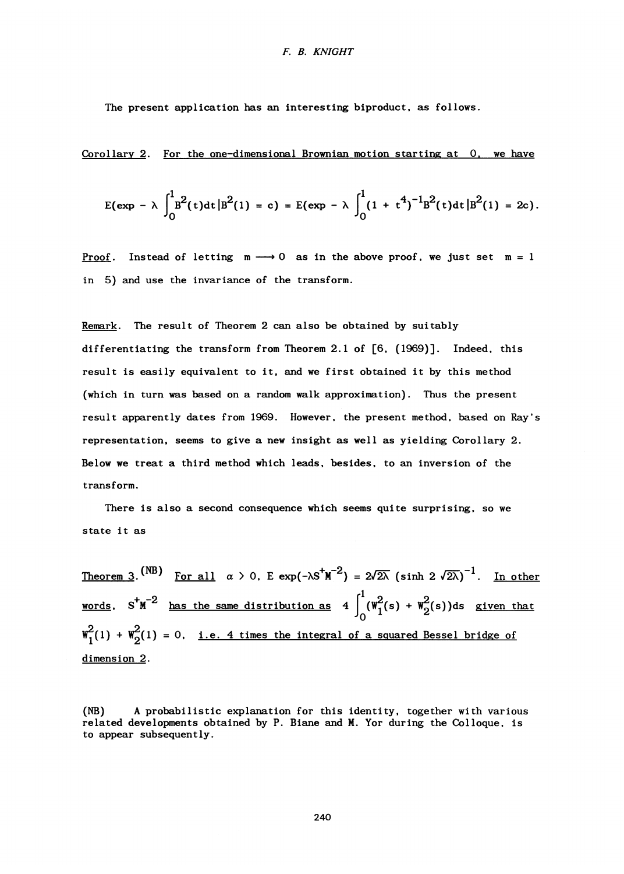#### *F. B. KNIGHT*

**The present application has an interesting biproduct, as follows.** 

**Corollary 2. For the one-dimensional Brownian motion starting at 0, we have** 

$$
E(\exp - \lambda \int_0^1 B^2(t) dt |B^2(1) = c) = E(\exp - \lambda \int_0^1 (1 + t^4)^{-1} B^2(t) dt |B^2(1) = 2c).
$$

<u>Proof</u>. Instead of letting  $m \longrightarrow 0$  as in the above proof, we just set  $m = 1$ **in 5) and use the invariance of the transform.** 

**Remark. The result of Theorem 2 can also be obtained by suitably differentiating the transform from Theorem 2.1 of [6, (1969)]. Indeed, this result is easily equivalent to it, and we first obtained it by this method (which in turn was based on a random walk approximation). Thus the present result apparently dates from 1969. However, the present method, based on Ray's representation, seems to give a new insight as well as yielding Corollary 2. Below we treat a third method which leads, besides, to an inversion of the transform.** 

**There is also a second consequence which seems quite surprising, so we state it as** 

**Theorem 3.**  $\binom{n}{2}$  **For all**  $\alpha > 0$ , **E** exp(- $\lambda$ S**M**  $\stackrel{\sim}{=}$  ) = 2/2 $\lambda$  (sinh 2 /2 $\lambda$ )  $\stackrel{\sim}{=}$  **In other <u>words</u>. S'M**  $\tilde{a}$  **has the same distribution as**  $4 \mid (\mathbb{W}^2(\mathbf{s}) + \mathbb{W}^2_{\mathbf{O}}(\mathbf{s}))$ **ds given that**  $\tilde{a}$  $W^2(1) + W^2(1) = 0$ , <u>i.e. 4 times the integral of a squared Bessel bridge of</u> **dimension 2.** 

**(NB) A probabilistic explanation for this identity, together with various related developments obtained by P. Biane and M. Yor during the Colloque, is to appear subsequently.**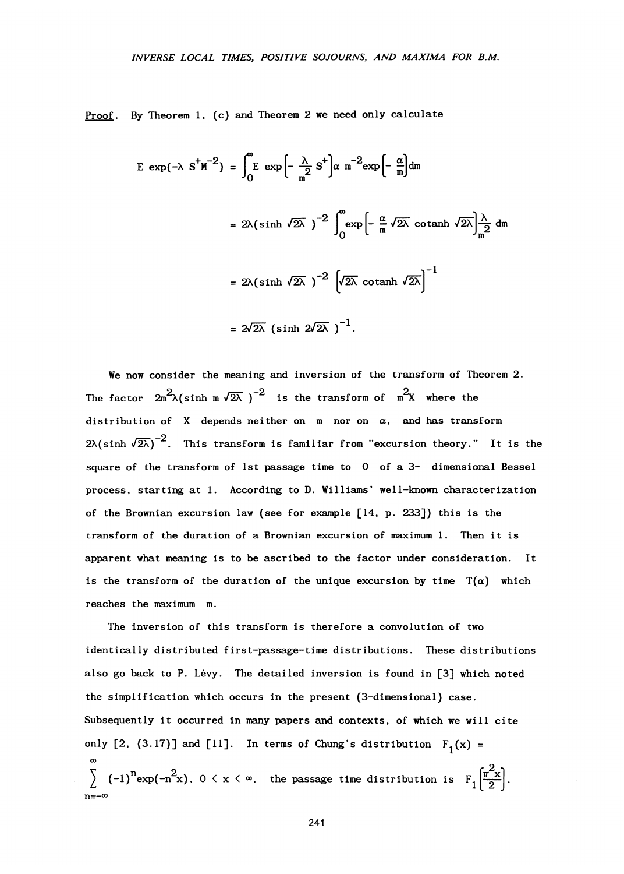**Proof. By Theorem 1, (c) and Theorem 2 we need only calculate** 

$$
E \exp(-\lambda S^{+}M^{-2}) = \int_{0}^{\infty} E \exp\left[-\frac{\lambda}{m^{2}} S^{+}\right] \alpha m^{-2} \exp\left[-\frac{\alpha}{m}\right] dm
$$
  

$$
= 2\lambda (\sinh \sqrt{2\lambda})^{-2} \int_{0}^{\infty} \exp\left[-\frac{\alpha}{m} \sqrt{2\lambda} \co \tanh \sqrt{2\lambda}\right] \frac{\lambda}{m^{2}} dm
$$
  

$$
= 2\lambda (\sinh \sqrt{2\lambda})^{-2} \left[\sqrt{2\lambda} \co \tanh \sqrt{2\lambda}\right]^{-1}
$$
  

$$
= 2\sqrt{2\lambda} (\sinh 2\sqrt{2\lambda})^{-1}.
$$

**We now consider the meaning and inversion of the transform of Theorem 2.**  The factor  $2m^2\lambda(\sinh m \sqrt{2\lambda})^{-2}$  is the transform of  $m^2X$  where the distribution of X depends neither on  $m$  nor on  $\alpha$ , and has transform  $2\lambda(\sinh \sqrt{2\lambda})^{-2}$ . This transform is familiar from "excursion theory." It is the square of the transform of 1st passage time to 0 of a 3- dimensional Bessel process, starting at 1. According to D. Williams' well-known characterization of the Brownian excursion law (see for example [14, p. 233]) this is the transform of the duration of a Brownian excursion of maximum 1. Then it is apparent what meaning is to be ascribed to the factor under consideration. It is the transform of the duration of the unique excursion by time  $T(\alpha)$  which reaches the maximum m.

The inversion of this transform is therefore a convolution of two identically distributed first-passage-time distributions. These distributions also go back to P. Lévy. The detailed inversion is found in [3] which noted the simplification which occurs in the present (3-dimensional) case. Subsequently it occurred in many papers and contexts, of which we will cite only  $[2, (3.17)]$  and  $[11]$ . In terms of Chung's distribution  $F_1(x) =$ **o**<br>  $\left\{\n\begin{array}{ccc}\n\circ & (-1)^n \exp(-n^2x), & 0 \le x \le \infty, \\
\text{the passage time distribution is } & F_1 \left( \frac{\pi^2 x}{2} \right)\n\end{array}\n\right\}$ **n = - o o**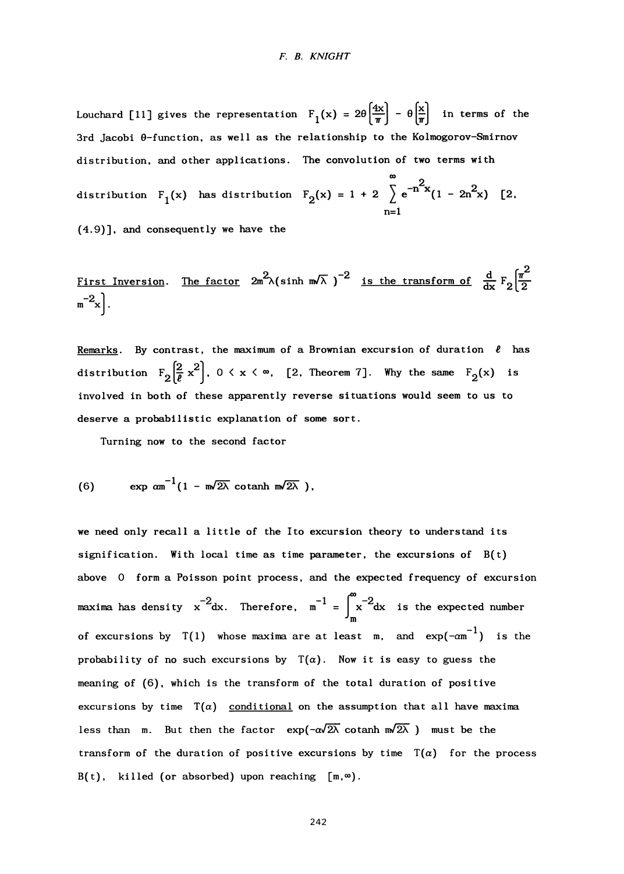Louchard [11] gives the representation  $F_1(x) = 2\theta \left(\frac{4x}{\pi}\right) - \theta \left(\frac{x}{\pi}\right)$  in terms of the **3rd Jacobi 0-function, as well as the relationship to the Kolmogorov-Smirnov distribution, and other applications. The convolution of two terms with 00 2 distribution F1**  $\frac{1}{2}$  **c**  $\frac{1}{2}$  **c**  $\frac{1}{2}$  **c**  $\frac{1}{2}$  **c**  $\frac{1}{2}$  **c**  $\frac{1}{2}$  **c**  $\frac{1}{2}$  **c**  $\frac{1}{2}$  **c**  $\frac{1}{2}$  **c**  $\frac{1}{2}$  **c**  $\frac{1}{2}$  **c**  $\frac{1}{2}$  **c**  $\frac{1}{2}$  **c**  $\frac{1}{2}$  **c**  $\frac{1$ 

**(4.9)], and consequently we have the** 

First Inversion. The factor 
$$
2m^2\lambda(\sinh m\lambda)^{-2}
$$
 is the transform of  $\frac{d}{dx}F_2\left[\frac{\pi^2}{2}m^{-2}x\right]$ .

 $\Omega$ 

**Remarks.** By contrast, the maximum of a Brownian excursion of duration  $\ell$  has distribution  $F_2\left[\frac{2}{\ell}x^2\right]$ ,  $0 \le x \le \infty$ , [2, Theorem 7]. Why the same  $F_2(x)$  is **involved in both of these apparently reverse situations would seem to us to deserve a probabilistic explanation of some sort.** 

**Turning now to the second factor** 

(6) 
$$
\exp \alpha m^{-1} (1 - m \sqrt{2\lambda} \co \tanh m \sqrt{2\lambda}),
$$

**we need only recall a little of the Ito excursion theory to understand its signification. With local time as time parameter, the excursions of B(t) above 0 form a Poisson point process, and the expected frequency of excursion**  maxima has density  $x^{-2}dx$ . Therefore,  $m^{-1} = \int_{0}^{\infty} x^{-2}dx$  is the expected number **-'m**  of excursions by  $T(1)$  whose maxima are at least m, and  $exp(-\alpha m^{-1})$  is the probability of no such excursions by  $T(a)$ . Now it is easy to guess the **meaning of (6), which is the transform of the total duration of positive**  excursions by time  $T(\alpha)$  conditional on the assumption that all have maxima less than m. But then the factor  $\exp(-\alpha\sqrt{2\lambda} \cot \alpha \ln m\sqrt{2\lambda})$  must be the transform of the duration of positive excursions by time  $T(\alpha)$  for the process  $B(t)$ , killed (or absorbed) upon reaching  $[m, \infty)$ .

**242**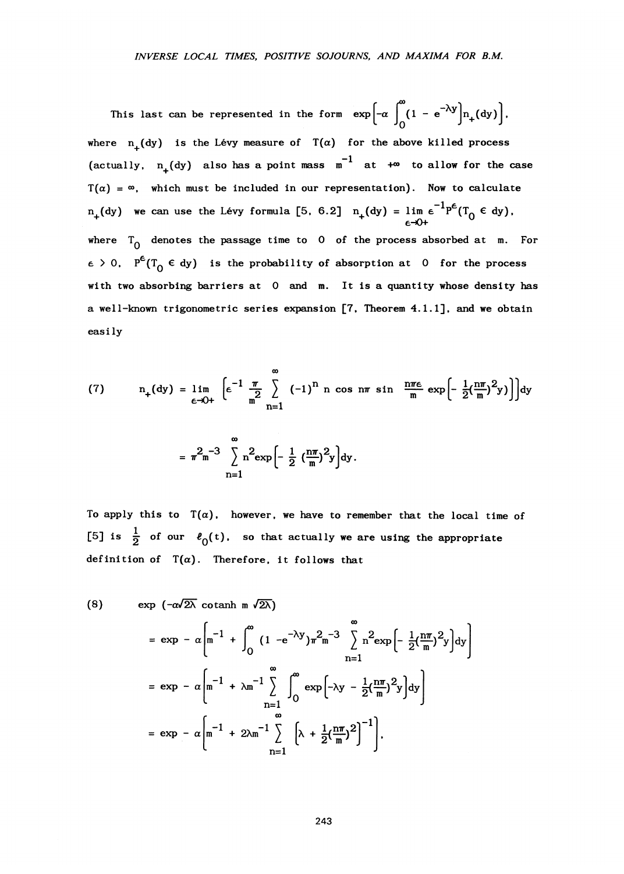This last can be represented in the form  $\exp\left[-\alpha \int_{0}^{\infty} (1 - e^{-\lambda y}) n_{+}(dy)\right]$ , where  $n_{\perp}$  (dy) is the Lévy measure of  $T(\alpha)$  for the above killed process (actually,  $n_{+}(dy)$  also has a point mass  $m^{-1}$  at  $+\infty$  to allow for the case  $T(\alpha) = \infty$ , which must be included in our representation). Now to calculate  $n_{+}(\text{dy})$  we can use the Lévy formula [5, 6.2]  $n_{+}(\text{dy}) = \lim_{\epsilon \to 0+} \epsilon^{-1} P^{\epsilon}(T_{0} \in \text{dy}).$ where  $T_0$  denotes the passage time to 0 of the process absorbed at m. For  $\epsilon > 0$ ,  $P^{c}(T_{0} \in dy)$  is the probability of absorption at 0 for the process **with two absorbing barriers at 0 and m. It is a quantity whose density has a well-known trigonometric series expansion [7, Theorem 4.1.1], and we obtain easily** 

(7) 
$$
n_{+}(dy) = \lim_{\epsilon \to 0+} \left[ \epsilon^{-1} \frac{\pi}{2} \sum_{n=1}^{\infty} (-1)^{n} \cos n\pi \sin \frac{n\pi\epsilon}{m} \exp \left[ -\frac{1}{2} (\frac{n\pi}{m})^{2} y \right] \right] dy
$$

$$
= \pi^{2} m^{-3} \sum_{n=1}^{\infty} n^{2} \exp \left[ -\frac{1}{2} (\frac{n\pi}{m})^{2} y \right] dy.
$$

To apply this to  $T(\alpha)$ , however, we have to remember that the local time of [5] is  $\frac{1}{2}$  of our  $\ell_0(t)$ , so that actually we are using the appropriate definition of  $T(\alpha)$ . Therefore, it follows that

$$
\exp\left(-\alpha\sqrt{2\lambda}\ \operatorname{cotanh} \mathbf{m}\ \sqrt{2\lambda}\right)
$$
\n
$$
= \exp\left(-\alpha\left[\mathbf{m}^{-1} + \int_0^\infty \left(1 - e^{-\lambda y}\right)\pi^2 \mathbf{m}^{-3} \sum_{n=1}^\infty \mathbf{n}^2 \exp\left(-\frac{1}{2}\left(\frac{n\pi}{m}\right)^2 y\right) dy\right]
$$
\n
$$
= \exp\left(-\alpha\left[\mathbf{m}^{-1} + \lambda \mathbf{m}^{-1} \sum_{n=1}^\infty \int_0^\infty \exp\left(-\lambda y - \frac{1}{2}\left(\frac{n\pi}{m}\right)^2 y\right) dy\right]
$$
\n
$$
= \exp\left(-\alpha\left[\mathbf{m}^{-1} + 2\lambda \mathbf{m}^{-1} \sum_{n=1}^\infty \left[\lambda + \frac{1}{2}\left(\frac{n\pi}{m}\right)^2\right]^{-1}\right],
$$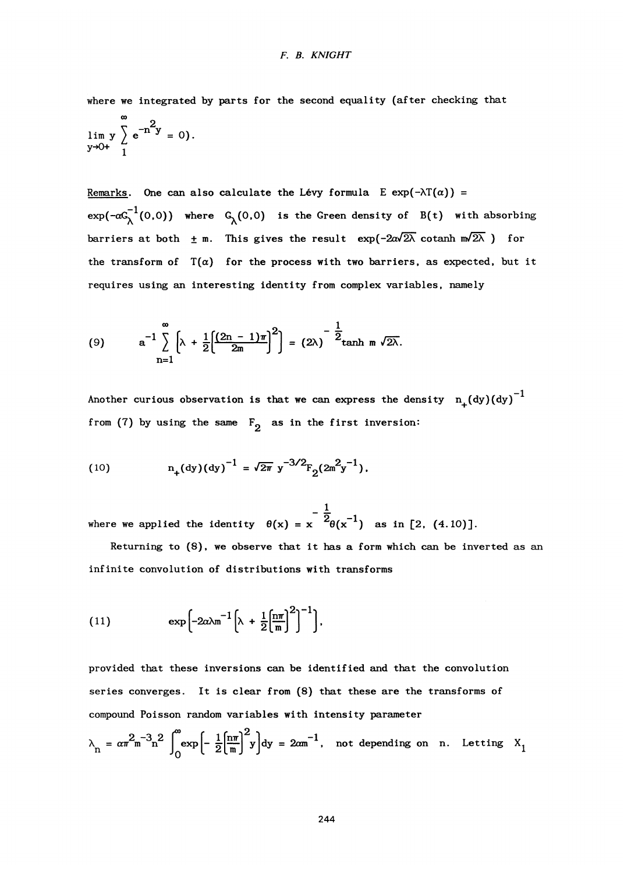**where we integrated by parts for the second equality (after checking that** 

$$
\lim_{y \to 0+} y \sum_{1}^{\infty} e^{-n^2 y} = 0.
$$

Remarks. One can also calculate the Lévy formula  $E \exp(-\lambda T(\alpha)) =$  $\exp(-\alpha C_{\lambda}^{-1}(0,0))$  where  $C_{\lambda}(0,0)$  is the Green density of B(t) with absorbing barriers at both  $\pm$  m. This gives the result  $\exp(-2\alpha\sqrt{2\lambda} \cot \frac{\pi\sqrt{2\lambda}}{2})$  for the transform of  $T(\alpha)$  for the process with two barriers, as expected, but it **requires using an interesting identity from complex variables, namely** 

(9) 
$$
a^{-1}\sum_{n=1}^{\infty}\left[\lambda+\frac{1}{2}\left[\frac{(2n-1)\pi}{2m}\right]^{2}\right]=(2\lambda)^{-\frac{1}{2}}\tanh m\sqrt{2\lambda}.
$$

Another curious observation is that we can express the density  $n_{+}(dy)(dy)^{-1}$ from (7) by using the same  $F_2$  as in the first inversion:

(10) 
$$
n_{+}(dy)(dy)^{-1} = \sqrt{2\pi} y^{-3/2} F_{2}(2m^{2}y^{-1}),
$$

 $\frac{1}{2}$  $2_{\text{A}} \sim 1$ 

Returning to (8), we observe that it has a form which can be inverted as an infinite convolution of distributions with transforms

(11) 
$$
\exp \left[-2\alpha \lambda m^{-1} \left[\lambda + \frac{1}{2} \left[\frac{n\pi}{m}\right]^2\right]^{-1}\right],
$$

**provided that these inversions can be identified and that the convolution series converges. It is clear from (8) that these are the transforms of compound Poisson random variables with intensity parameter** 

$$
\lambda_n = \alpha \pi^2 m^{-3} n^2 \int_0^{\infty} \exp\left[-\frac{1}{2} \left(\frac{n\pi}{m}\right)^2 y\right] dy = 2\alpha m^{-1}, \text{ not depending on } n. \text{ Letting } X_1
$$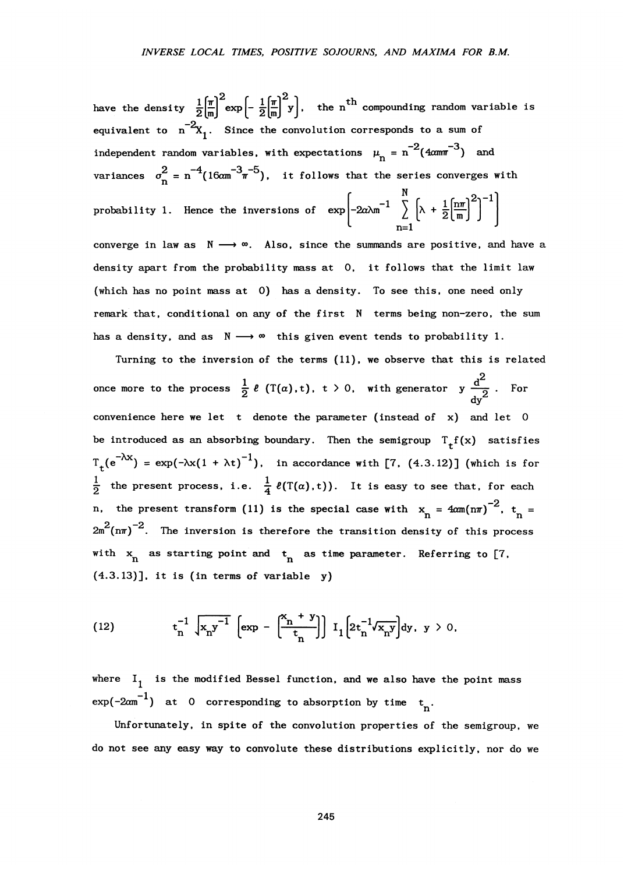have the density  $\frac{1}{2} \left( \frac{\pi}{m} \right)^2 \exp \left(-\frac{1}{2} \left( \frac{\pi}{m} \right)^2 y\right)$ , the n<sup>th</sup> compounding random variable is equivalent to  $n^{-2}X_1$ . Since the convolution corresponds to a sum of independent random variables, with expectations  $\mu_n = n^{-2} (4 \text{cm}^{-3})$  and **i**  $\frac{1}{2}$   $\frac{-4}{2}$   $\frac{-3}{2}$   $\frac{-5}{2}$ **2**  $\frac{1}{2}$   $\frac{1}{2}$ **x** is the series of  $\frac{N}{2}$  in  $\frac{5}{2}$  (1) probability 1. Hence the inversions of  $\exp\left[-2\alpha\lambda m^{-1} \sum_{n=1}^{\infty} \left[\lambda + \frac{1}{2} \left[\frac{n\pi}{m}\right]^2\right]^n\right]$ **n=l ^ converge in law as N — » «>. Also, since the summands are positive, and have a density apart from the probability mass at 0, it follows that the limit law (which has no point mass at 0) has a density. To see this, one need only remark that, conditional on any of the first N terms being non-zero, the sum** 

**Turning to the inversion of the terms (11), we observe that this is related**   $\frac{1}{2}$  e (T(a),t), t > 0, with generator y  $\frac{1}{2}$  $\Delta$  dy convenience here we let  $t$  denote the parameter (instead of  $x$ ) and let 0 be introduced as an absorbing boundary. Then the semigroup  $T_f f(x)$  satisfies  $\int_{t}^{\infty} e^{-\lambda x}$  = exp( $-\lambda x(1 + \lambda t)^{-1}$ ), in accordance with [7, (4.3.12)] (which is for  $\frac{1}{2}$  the present process, i.e.  $\frac{1}{4}$   $\ell(T(\alpha), t)$ ). It is easy to see that, for each **p** the present transform (11) is the enough ages with  $\mu$ ,  $4\pi(r-1)^{-2}$ , **\_2**   $2m^2$ (n $\pi$ )<sup>-2</sup>. The inversion is therefore the transition density of this process with  $x_n$  as starting point and  $t_n$  as time parameter. Referring to [7,  $(4.3.13)$ ], it is (in terms of variable  $y$ )

**has a density, and as N — • <sup>0</sup> <sup>0</sup> this given event tends to probability 1.** 

(12) 
$$
t_n^{-1} \sqrt{x_n y^{-1}} \left[ exp - \left( \frac{x_n + y}{t_n} \right) \right] I_1 \left[ 2t_n^{-1} \sqrt{x_n y} \right] dy, y > 0,
$$

where I<sub>1</sub> is the modified Bessel function, and we also have the point mass  $\exp(-2\alpha m^{-1})$  at 0 corresponding to absorption by time  $t_n$ .

**Unfortunately, in spite of the convolution properties of the semigroup, we do not see any easy way to convolute these distributions explicitly, nor do we**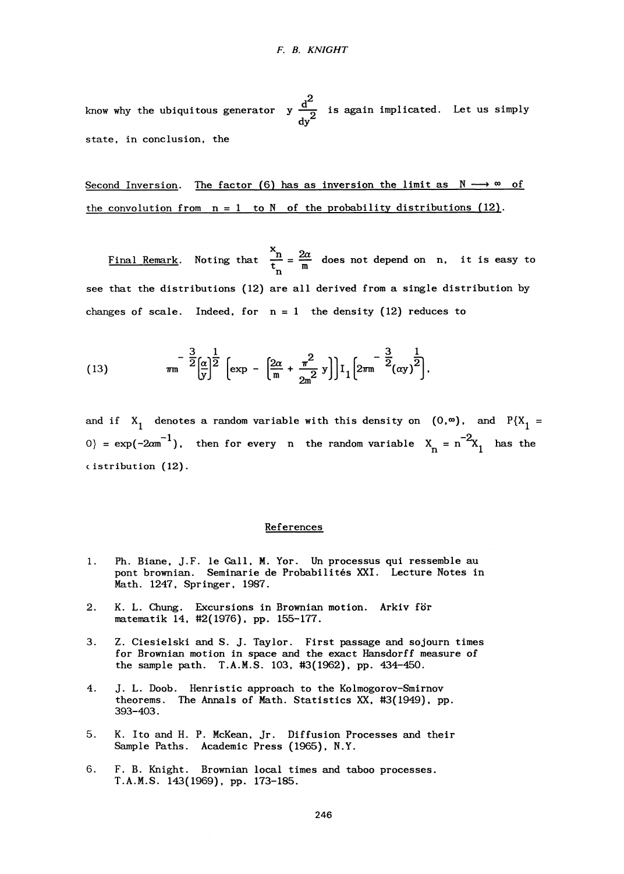**,2**  know why the ubiquitous generator **y**  $\frac{1}{\sqrt{2}}$  is again implicated. Let us simply **dy^ state, in conclusion, the** 

### Second Inversion. The factor  $(6)$  has as inversion the limit as  $N \rightarrow \infty$  of the convolution from  $n = 1$  to N of the probability distributions  $(12)$ .

Final Remark. Noting that  $\frac{A}{n} = \frac{2m}{m}$  does not depend on n, it is easy to **see that the distributions (12) are all derived from a single distribution by**  changes of scale. Indeed, for  $n = 1$  the density  $(12)$  reduces to

(13) 
$$
m^{-\frac{3}{2}} \left[\frac{\alpha}{y}\right]^{\frac{1}{2}} \left[\exp - \left[\frac{2\alpha}{m} + \frac{\pi^2}{2m^2} y\right]\right] I_1 \left[2\pi m^{-\frac{3}{2}} (\alpha y)^{\frac{1}{2}}\right].
$$

and if  $X_1$  denotes a random variable with this density on  $(0, \infty)$ , and  $P{X_1 =$ 0} =  $\exp(-2\alpha m^{-1})$ , then for every n the random variable  $X_n = n^{-2}X_1$  has the **c istribution (12).** 

#### **References**

- **1. Ph. Biane, J.F. le Gall, M. Yor. Un processus qui ressemble au pont brownian. Seminarie de Probabilités XXI. Lecture Notes in Math. 1247, Springer, 1987.**
- **2. K. L. Chung. Excursions in Brownian motion. Arkiv för matematik 14, #2(1976). pp. 155-177.**
- **3. Z. Ciesielski and S. J. Taylor. First passage and sojourn times for Brownian motion in space and the exact Hansdorff measure of the sample path. T.A.M.S. 103. #3(1962), pp. 434-450.**
- **4. J. L. Doob. Henristic approach to the Kolmogorov-Smirnov theorems. The Annals of Math. Statistics XX, #3(1949), pp. 393-403.**
- **5. K. Ito and H. P. McKean, Jr. Diffusion Processes and their Sample Paths. Academic Press (1965), N.Y.**
- **6. F. B. Knight. Brownian local times and taboo processes. T.A.M.S. 143(1969). pp. 173-185.**